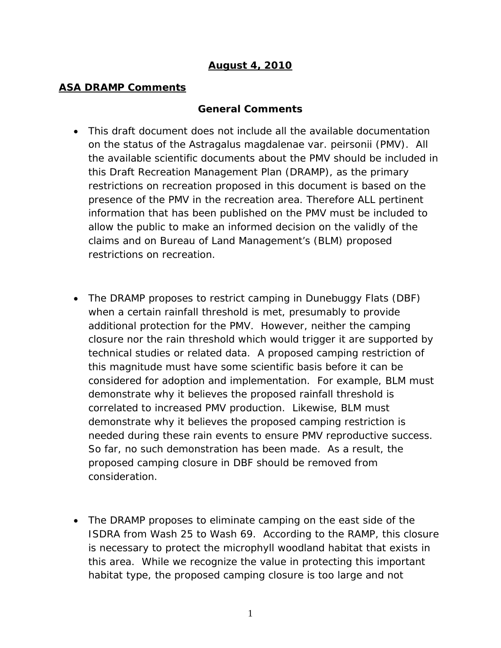# *August 4, 2010*

#### *ASA DRAMP Comments*

#### **General Comments**

- This draft document does not include all the available documentation on the status of the *Astragalus magdalenae var. peirsonii (PMV).* All the available scientific documents about the PMV should be included in this Draft Recreation Management Plan (DRAMP), as the primary restrictions on recreation proposed in this document is based on the presence of the PMV in the recreation area. Therefore ALL pertinent information that has been published on the PMV must be included to allow the public to make an informed decision on the validly of the claims and on Bureau of Land Management's (BLM) proposed restrictions on recreation.
- The DRAMP proposes to restrict camping in Dunebuggy Flats (DBF) when a certain rainfall threshold is met, presumably to provide additional protection for the PMV. However, neither the camping closure nor the rain threshold which would trigger it are supported by technical studies or related data. A proposed camping restriction of this magnitude must have some scientific basis before it can be considered for adoption and implementation. For example, BLM must demonstrate why it believes the proposed rainfall threshold is correlated to increased PMV production. Likewise, BLM must demonstrate why it believes the proposed camping restriction is needed during these rain events to ensure PMV reproductive success. So far, no such demonstration has been made. As a result, the proposed camping closure in DBF should be removed from consideration.
- The DRAMP proposes to eliminate camping on the east side of the ISDRA from Wash 25 to Wash 69. According to the RAMP, this closure is necessary to protect the microphyll woodland habitat that exists in this area. While we recognize the value in protecting this important habitat type, the proposed camping closure is too large and not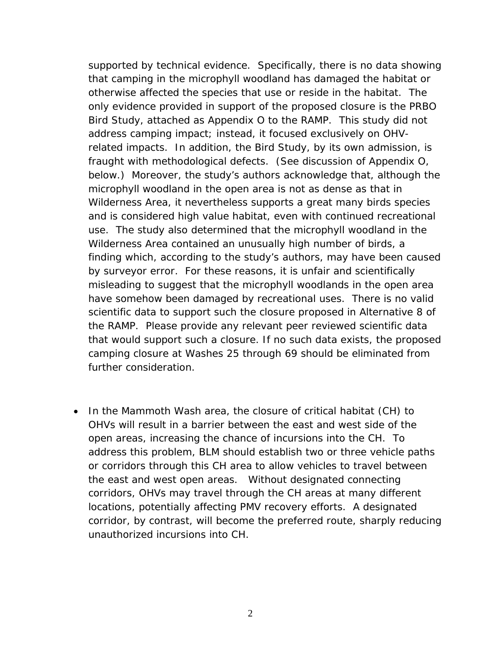supported by technical evidence. Specifically, there is no data showing that camping in the microphyll woodland has damaged the habitat or otherwise affected the species that use or reside in the habitat. The only evidence provided in support of the proposed closure is the PRBO Bird Study, attached as Appendix O to the RAMP. This study did not address camping impact; instead, it focused exclusively on OHVrelated impacts. In addition, the Bird Study, by its own admission, is fraught with methodological defects. (See discussion of Appendix O, below.) Moreover, the study's authors acknowledge that, although the microphyll woodland in the open area is not as dense as that in Wilderness Area, it nevertheless supports a great many birds species and is considered high value habitat, even with continued recreational use. The study also determined that the microphyll woodland in the Wilderness Area contained an unusually high number of birds, a finding which, according to the study's authors, may have been caused by surveyor error. For these reasons, it is unfair and scientifically misleading to suggest that the microphyll woodlands in the open area have somehow been damaged by recreational uses. There is no valid scientific data to support such the closure proposed in Alternative 8 of the RAMP. Please provide any relevant peer reviewed scientific data that would support such a closure. If no such data exists, the proposed camping closure at Washes 25 through 69 should be eliminated from further consideration.

• In the Mammoth Wash area, the closure of critical habitat (CH) to OHVs will result in a barrier between the east and west side of the open areas, increasing the chance of incursions into the CH. To address this problem, BLM should establish two or three vehicle paths or corridors through this CH area to allow vehicles to travel between the east and west open areas. Without designated connecting corridors, OHVs may travel through the CH areas at many different locations, potentially affecting PMV recovery efforts. A designated corridor, by contrast, will become the preferred route, sharply reducing unauthorized incursions into CH.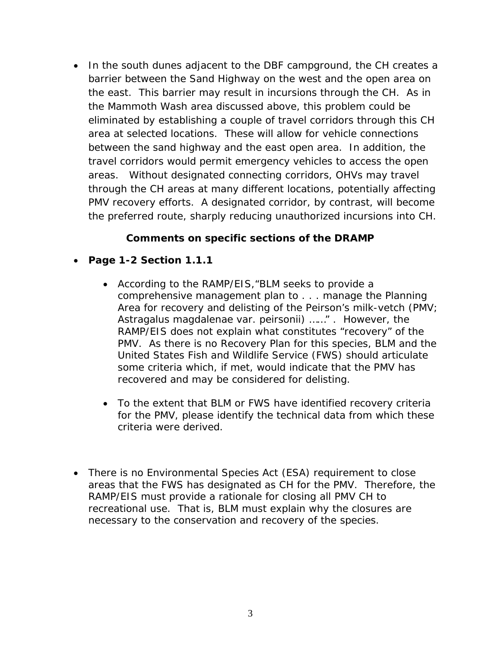• In the south dunes adjacent to the DBF campground, the CH creates a barrier between the Sand Highway on the west and the open area on the east. This barrier may result in incursions through the CH. As in the Mammoth Wash area discussed above, this problem could be eliminated by establishing a couple of travel corridors through this CH area at selected locations. These will allow for vehicle connections between the sand highway and the east open area. In addition, the travel corridors would permit emergency vehicles to access the open areas. Without designated connecting corridors, OHVs may travel through the CH areas at many different locations, potentially affecting PMV recovery efforts. A designated corridor, by contrast, will become the preferred route, sharply reducing unauthorized incursions into CH.

## **Comments on specific sections of the DRAMP**

- **Page 1-2 Section 1.1.1**
	- According to the RAMP/EIS,"*BLM seeks to provide a comprehensive management plan to . . . manage the Planning Area for recovery and delisting of the Peirson's milk-vetch (PMV; Astragalus magdalenae var. peirsonii)* ……" . However, the RAMP/EIS does not explain what constitutes "recovery" of the PMV. As there is no Recovery Plan for this species, BLM and the United States Fish and Wildlife Service (FWS) should articulate some criteria which, if met, would indicate that the PMV has recovered and may be considered for delisting.
	- To the extent that BLM or FWS have identified recovery criteria for the PMV, please identify the technical data from which these criteria were derived.
- There is no Environmental Species Act (ESA) requirement to close areas that the FWS has designated as CH for the PMV. Therefore, the RAMP/EIS must provide a rationale for closing all PMV CH to recreational use. That is, BLM must explain why the closures are necessary to the conservation and recovery of the species.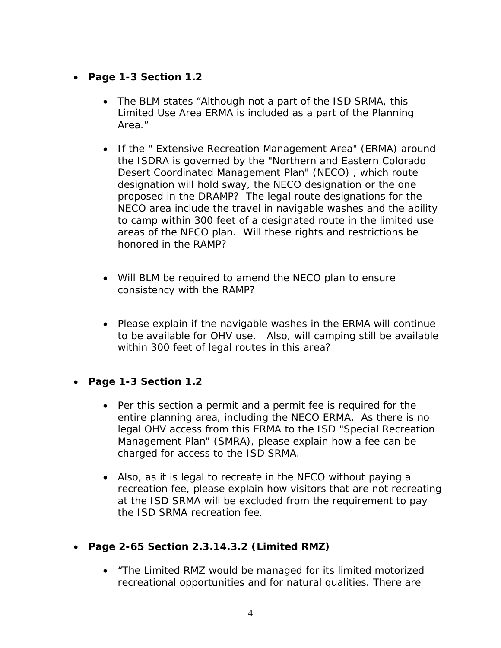- **Page 1-3 Section 1.2**
	- The BLM states "*Although not a part of the ISD SRMA, this Limited Use Area ERMA is included as a part of the Planning Area*."
	- If the " Extensive Recreation Management Area" (ERMA) around the ISDRA is governed by the "Northern and Eastern Colorado Desert Coordinated Management Plan" (NECO) , which route designation will hold sway, the NECO designation or the one proposed in the DRAMP? The legal route designations for the NECO area include the travel in navigable washes and the ability to camp within 300 feet of a designated route in the limited use areas of the NECO plan. Will these rights and restrictions be honored in the RAMP?
	- Will BLM be required to amend the NECO plan to ensure consistency with the RAMP?
	- Please explain if the navigable washes in the ERMA will continue to be available for OHV use. Also, will camping still be available within 300 feet of legal routes in this area?
- **Page 1-3 Section 1.2** 
	- Per this section a permit and a permit fee is required for the entire planning area, including the NECO ERMA. As there is no legal OHV access from this ERMA to the ISD "Special Recreation Management Plan" (SMRA), please explain how a fee can be charged for access to the ISD SRMA.
	- Also, as it is legal to recreate in the NECO without paying a recreation fee, please explain how visitors that are not recreating at the ISD SRMA will be excluded from the requirement to pay the ISD SRMA recreation fee.
- **Page 2-65 Section 2.3.14.3.2 (Limited RMZ)**
	- *"The Limited RMZ would be managed for its limited motorized recreational opportunities and for natural qualities. There are*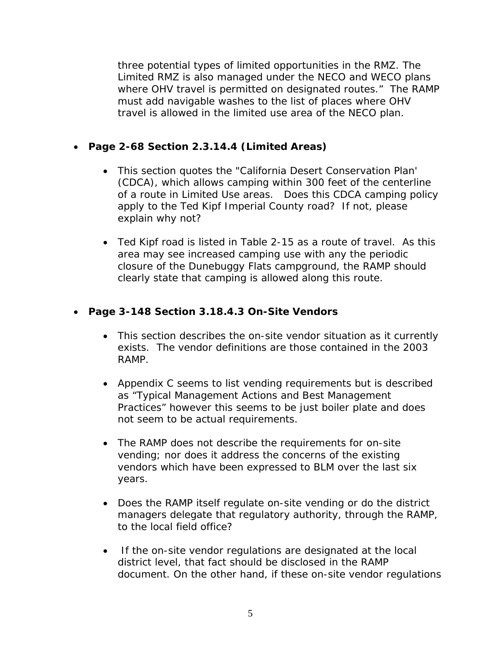*three potential types of limited opportunities in the RMZ. The Limited RMZ is also managed under the NECO and WECO plans where OHV travel is permitted on designated routes."* The RAMP must add navigable washes to the list of places where OHV travel is allowed in the limited use area of the NECO plan.

## • **Page 2-68 Section 2.3.14.4 (Limited Areas)**

- This section quotes the "California Desert Conservation Plan' (CDCA), which allows camping within 300 feet of the centerline of a route in Limited Use areas. Does this CDCA camping policy apply to the Ted Kipf Imperial County road? If not, please explain why not?
- Ted Kipf road is listed in Table 2-15 as a route of travel. As this area may see increased camping use with any the periodic closure of the Dunebuggy Flats campground, the RAMP should clearly state that camping is allowed along this route.

## • **Page 3-148 Section 3.18.4.3 On-Site Vendors**

- This section describes the on-site vendor situation as it currently exists. The vendor definitions are those contained in the 2003 RAMP.
- Appendix C seems to list vending requirements but is described as "Typical Management Actions and Best Management Practices" however this seems to be just boiler plate and does not seem to be actual requirements.
- The RAMP does not describe the requirements for on-site vending; nor does it address the concerns of the existing vendors which have been expressed to BLM over the last six years.
- Does the RAMP itself regulate on-site vending or do the district managers delegate that regulatory authority, through the RAMP, to the local field office?
- If the on-site vendor regulations are designated at the local district level, that fact should be disclosed in the RAMP document. On the other hand, if these on-site vendor regulations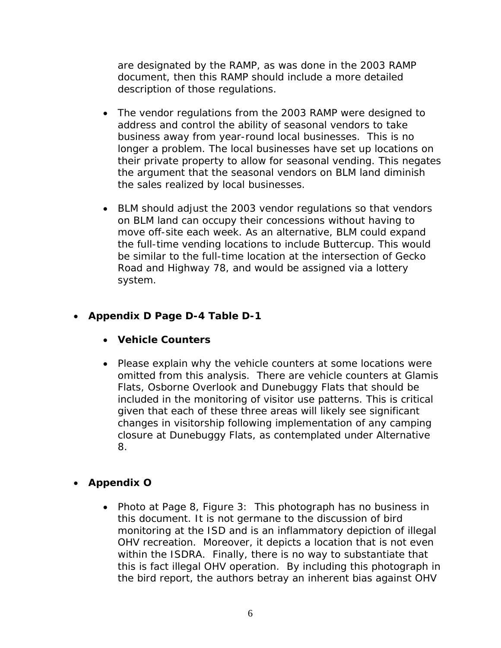are designated by the RAMP, as was done in the 2003 RAMP document, then this RAMP should include a more detailed description of those regulations.

- The vendor regulations from the 2003 RAMP were designed to address and control the ability of seasonal vendors to take business away from year-round local businesses. This is no longer a problem. The local businesses have set up locations on their private property to allow for seasonal vending. This negates the argument that the seasonal vendors on BLM land diminish the sales realized by local businesses.
- BLM should adjust the 2003 vendor regulations so that vendors on BLM land can occupy their concessions without having to move off-site each week. As an alternative, BLM could expand the full-time vending locations to include Buttercup. This would be similar to the full-time location at the intersection of Gecko Road and Highway 78, and would be assigned via a lottery system.

## • **Appendix D Page D-4 Table D-1**

- **Vehicle Counters**
- Please explain why the vehicle counters at some locations were omitted from this analysis. There are vehicle counters at Glamis Flats, Osborne Overlook and Dunebuggy Flats that should be included in the monitoring of visitor use patterns. This is critical given that each of these three areas will likely see significant changes in visitorship following implementation of any camping closure at Dunebuggy Flats, as contemplated under Alternative 8.

# • **Appendix O**

• Photo at Page 8, Figure 3: This photograph has no business in this document. It is not germane to the discussion of bird monitoring at the ISD and is an inflammatory depiction of illegal OHV recreation. Moreover, it depicts a location that is not even within the ISDRA. Finally, there is no way to substantiate that this is fact illegal OHV operation. By including this photograph in the bird report, the authors betray an inherent bias against OHV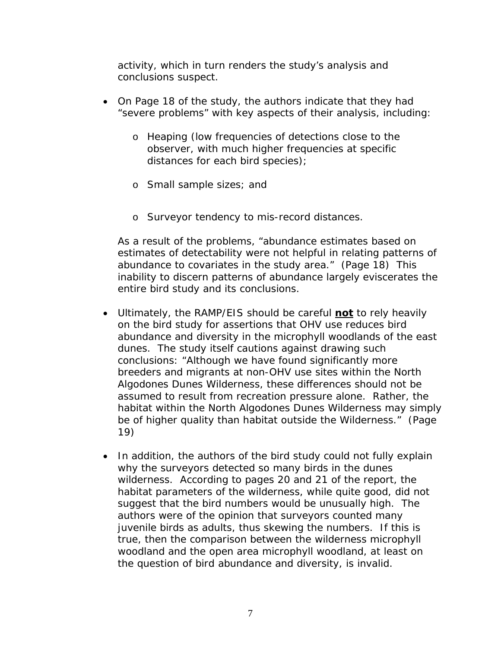activity, which in turn renders the study's analysis and conclusions suspect.

- On Page 18 of the study, the authors indicate that they had "severe problems" with key aspects of their analysis, including:
	- o Heaping (low frequencies of detections close to the observer, with much higher frequencies at specific distances for each bird species);
	- o Small sample sizes; and
	- o Surveyor tendency to mis-record distances.

As a result of the problems, "abundance estimates based on estimates of detectability were not helpful in relating patterns of abundance to covariates in the study area." (Page 18) This inability to discern patterns of abundance largely eviscerates the entire bird study and its conclusions.

- Ultimately, the RAMP/EIS should be careful **not** to rely heavily on the bird study for assertions that OHV use reduces bird abundance and diversity in the microphyll woodlands of the east dunes. The study itself cautions against drawing such conclusions: "Although we have found significantly more breeders and migrants at non-OHV use sites within the North Algodones Dunes Wilderness, these differences should not be assumed to result from recreation pressure alone. Rather, the habitat within the North Algodones Dunes Wilderness may simply be of higher quality than habitat outside the Wilderness." (Page 19)
- In addition, the authors of the bird study could not fully explain why the surveyors detected so many birds in the dunes wilderness. According to pages 20 and 21 of the report, the habitat parameters of the wilderness, while quite good, did not suggest that the bird numbers would be unusually high. The authors were of the opinion that surveyors counted many *juvenile* birds as adults, thus skewing the numbers. If this is true, then the comparison between the *wilderness* microphyll woodland and the *open area* microphyll woodland, at least on the question of bird abundance and diversity, is invalid.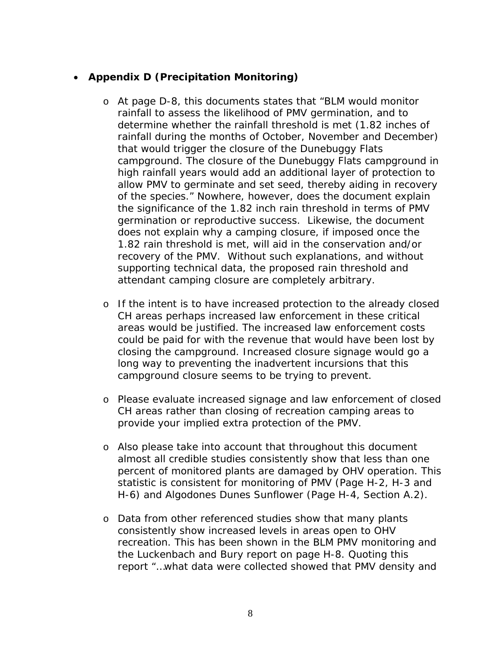# • **Appendix D (Precipitation Monitoring)**

- o At page D-8, this documents states that *"BLM would monitor rainfall to assess the likelihood of PMV germination, and to determine whether the rainfall threshold is met (1.82 inches of rainfall during the months of October, November and December) that would trigger the closure of the Dunebuggy Flats campground. The closure of the Dunebuggy Flats campground in high rainfall years would add an additional layer of protection to allow PMV to germinate and set seed, thereby aiding in recovery of the species."* Nowhere, however, does the document explain the significance of the 1.82 inch rain threshold in terms of PMV germination or reproductive success. Likewise, the document does not explain why a camping closure, if imposed once the 1.82 rain threshold is met, will aid in the conservation and/or recovery of the PMV. Without such explanations, and without supporting technical data, the proposed rain threshold and attendant camping closure are completely arbitrary.
- o If the intent is to have increased protection to the already closed CH areas perhaps increased law enforcement in these critical areas would be justified. The increased law enforcement costs could be paid for with the revenue that would have been lost by closing the campground. Increased closure signage would go a long way to preventing the inadvertent incursions that this campground closure seems to be trying to prevent.
- o Please evaluate increased signage and law enforcement of closed CH areas rather than closing of recreation camping areas to provide your implied extra protection of the PMV.
- o Also please take into account that throughout this document almost all credible studies consistently show that less than one percent of monitored plants are damaged by OHV operation. This statistic is consistent for monitoring of PMV (Page H-2, H-3 and H-6) and Algodones Dunes Sunflower (Page H-4, Section A.2).
- o Data from other referenced studies show that many plants consistently show increased levels in areas open to OHV recreation. This has been shown in the BLM PMV monitoring and the Luckenbach and Bury report on page H-8. Quoting this report *"…what data were collected showed that PMV density and*